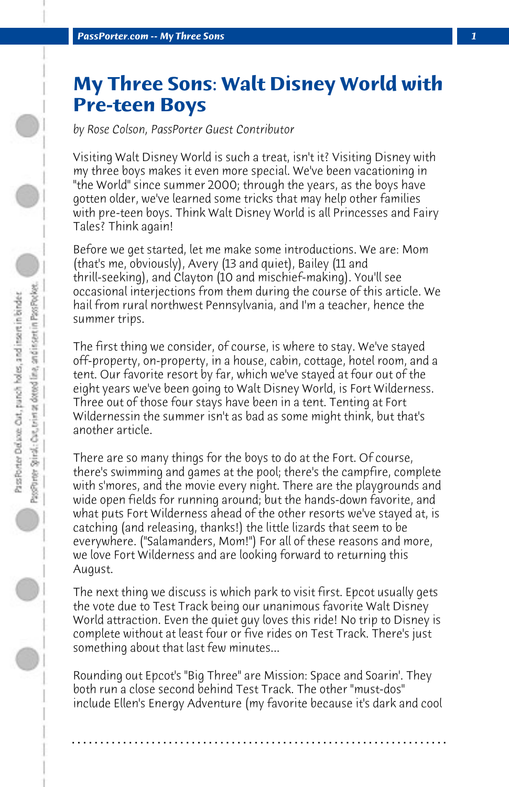## **My Three Sons: Walt Disney World with Pre-teen Boys**

*by Rose Colson, PassPorter Guest Contributor*

Visiting Walt Disney World is such a treat, isn't it? Visiting Disney with my three boys makes it even more special. We've been vacationing in "the World" since summer 2000; through the years, as the boys have gotten older, we've learned some tricks that may help other families with pre-teen boys. Think Walt Disney World is all Princesses and Fairy Tales? Think again!

Before we get started, let me make some introductions. We are: Mom (that's me, obviously), Avery (13 and quiet), Bailey (11 and thrill-seeking), and Clayton (10 and mischief-making). You'll see occasional interjections from them during the course of this article. We hail from rural northwest Pennsylvania, and I'm a teacher, hence the summer trips.

The first thing we consider, of course, is where to stay. We've stayed off-property, on-property, in a house, cabin, cottage, hotel room, and a tent. Our favorite resort by far, which we've stayed at four out of the eight years we've been going to Walt Disney World, is Fort Wilderness. Three out of those four stays have been in a tent. Tenting at Fort Wildernessin the summer isn't as bad as some might think, but that's another article.

There are so many things for the boys to do at the Fort. Of course, there's swimming and games at the pool; there's the campfire, complete with s'mores, and the movie every night. There are the playgrounds and wide open fields for running around; but the hands-down favorite, and what puts Fort Wilderness ahead of the other resorts we've stayed at, is catching (and releasing, thanks!) the little lizards that seem to be everywhere. ("Salamanders, Mom!") For all of these reasons and more, we love Fort Wilderness and are looking forward to returning this August.

The next thing we discuss is which park to visit first. Epcot usually gets the vote due to Test Track being our unanimous favorite Walt Disney World attraction. Even the quiet guy loves this ride! No trip to Disney is complete without at least four or five rides on Test Track. There's just something about that last few minutes...

Rounding out Epcot's "Big Three" are Mission: Space and Soarin'. They both run a close second behind Test Track. The other "must-dos" include Ellen's Energy Adventure (my favorite because it's dark and cool

**. . . . . . . . . . . . . . . . . . . . . . . . . . . . . . . . . . . . . . . . . . . . . . . . . . . . . . . . . . . . . . . . . .**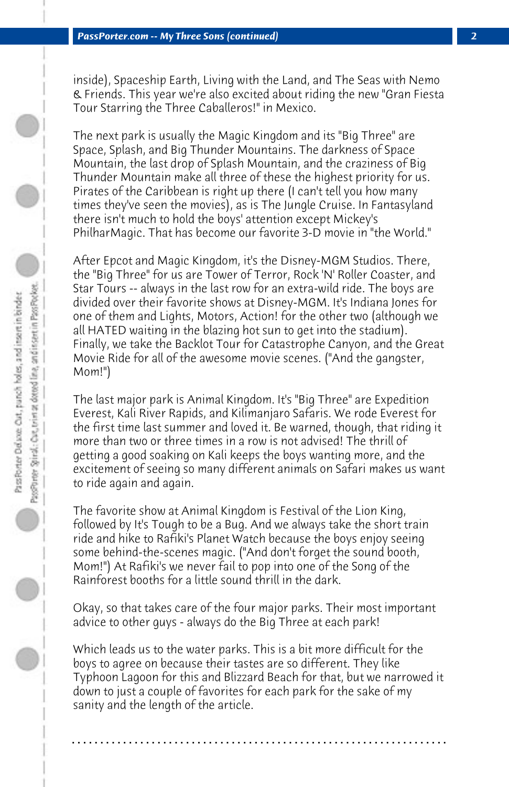inside), Spaceship Earth, Living with the Land, and The Seas with Nemo & Friends. This year we're also excited about riding the new "Gran Fiesta Tour Starring the Three Caballeros!" in Mexico.

The next park is usually the Magic Kingdom and its "Big Three" are Space, Splash, and Big Thunder Mountains. The darkness of Space Mountain, the last drop of Splash Mountain, and the craziness of Big Thunder Mountain make all three of these the highest priority for us. Pirates of the Caribbean is right up there (I can't tell you how many times they've seen the movies), as is The Jungle Cruise. In Fantasyland there isn't much to hold the boys' attention except Mickey's PhilharMagic. That has become our favorite 3-D movie in "the World."

After Epcot and Magic Kingdom, it's the Disney-MGM Studios. There, the "Big Three" for us are Tower of Terror, Rock 'N' Roller Coaster, and Star Tours -- always in the last row for an extra-wild ride. The boys are divided over their favorite shows at Disney-MGM. It's Indiana Jones for one of them and Lights, Motors, Action! for the other two (although we all HATED waiting in the blazing hot sun to get into the stadium). Finally, we take the Backlot Tour for Catastrophe Canyon, and the Great Movie Ride for all of the awesome movie scenes. ("And the gangster, Mom!")

The last major park is Animal Kingdom. It's "Big Three" are Expedition Everest, Kali River Rapids, and Kilimanjaro Safaris. We rode Everest for the first time last summer and loved it. Be warned, though, that riding it more than two or three times in a row is not advised! The thrill of getting a good soaking on Kali keeps the boys wanting more, and the excitement of seeing so many different animals on Safari makes us want to ride again and again.

The favorite show at Animal Kingdom is Festival of the Lion King, followed by It's Tough to be a Bug. And we always take the short train ride and hike to Rafiki's Planet Watch because the boys enjoy seeing some behind-the-scenes magic. ("And don't forget the sound booth, Mom!") At Rafiki's we never fail to pop into one of the Song of the Rainforest booths for a little sound thrill in the dark.

Okay, so that takes care of the four major parks. Their most important advice to other guys - always do the Big Three at each park!

Which leads us to the water parks. This is a bit more difficult for the boys to agree on because their tastes are so different. They like Typhoon Lagoon for this and Blizzard Beach for that, but we narrowed it down to just a couple of favorites for each park for the sake of my sanity and the length of the article.

**. . . . . . . . . . . . . . . . . . . . . . . . . . . . . . . . . . . . . . . . . . . . . . . . . . . . . . . . . . . . . . . . . .**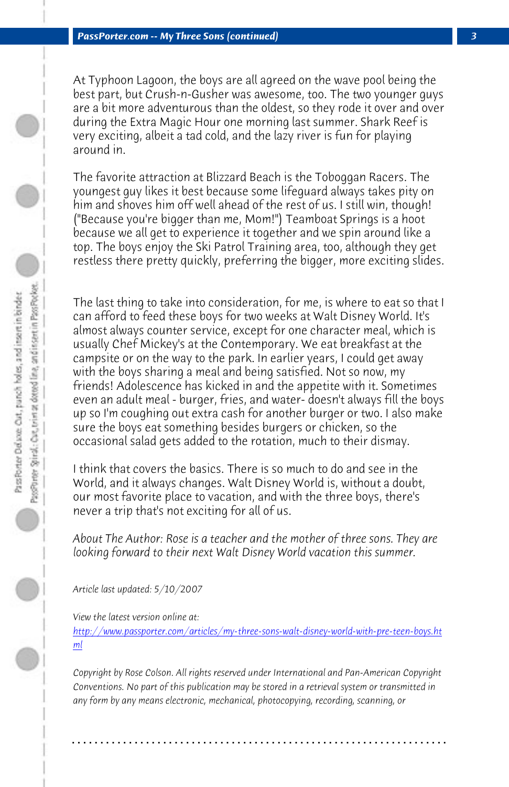*PassPorter.com -- My Three Sons (continued) 3*

At Typhoon Lagoon, the boys are all agreed on the wave pool being the best part, but Crush-n-Gusher was awesome, too. The two younger guys are a bit more adventurous than the oldest, so they rode it over and over during the Extra Magic Hour one morning last summer. Shark Reef is very exciting, albeit a tad cold, and the lazy river is fun for playing around in.

The favorite attraction at Blizzard Beach is the Toboggan Racers. The youngest guy likes it best because some lifeguard always takes pity on him and shoves him off well ahead of the rest of us. I still win, though! ("Because you're bigger than me, Mom!") Teamboat Springs is a hoot because we all get to experience it together and we spin around like a top. The boys enjoy the Ski Patrol Training area, too, although they get restless there pretty quickly, preferring the bigger, more exciting slides.

The last thing to take into consideration, for me, is where to eat so that I can afford to feed these boys for two weeks at Walt Disney World. It's almost always counter service, except for one character meal, which is usually Chef Mickey's at the Contemporary. We eat breakfast at the campsite or on the way to the park. In earlier years, I could get away with the boys sharing a meal and being satisfied. Not so now, my friends! Adolescence has kicked in and the appetite with it. Sometimes [even an adult meal - burger, fries, and water- doesn't always fill the boys](http://www.passporter.com/articles/my-three-sons-walt-disney-world-with-pre-teen-boys.php) [up](http://www.passporter.com/articles/my-three-sons-walt-disney-world-with-pre-teen-boys.php) so I'm coughing out extra cash for another burger or two. I also make sure the boys eat something besides burgers or chicken, so the occasional salad gets added to the rotation, much to their dismay.

I think that covers the basics. There is so much to do and see in the World, and it always changes. Walt Disney World is, without a doubt, our most favorite place to vacation, and with the three boys, there's never a trip that's not exciting for all of us.

*About The Author: Rose is a teacher and the mother of three sons. They are looking forward to their next Walt Disney World vacation this summer.*

*Article last updated: 5/10/2007*

*View the latest version online at: http://www.passporter.com/articles/my-three-sons-walt-disney-world-with-pre-teen-boys.ht ml*

*Copyright by Rose Colson. All rights reserved under International and Pan-American Copyright Conventions. No part of this publication may be stored in a retrieval system or transmitted in any form by any means electronic, mechanical, photocopying, recording, scanning, or*

**. . . . . . . . . . . . . . . . . . . . . . . . . . . . . . . . . . . . . . . . . . . . . . . . . . . . . . . . . . . . . . . . . .**